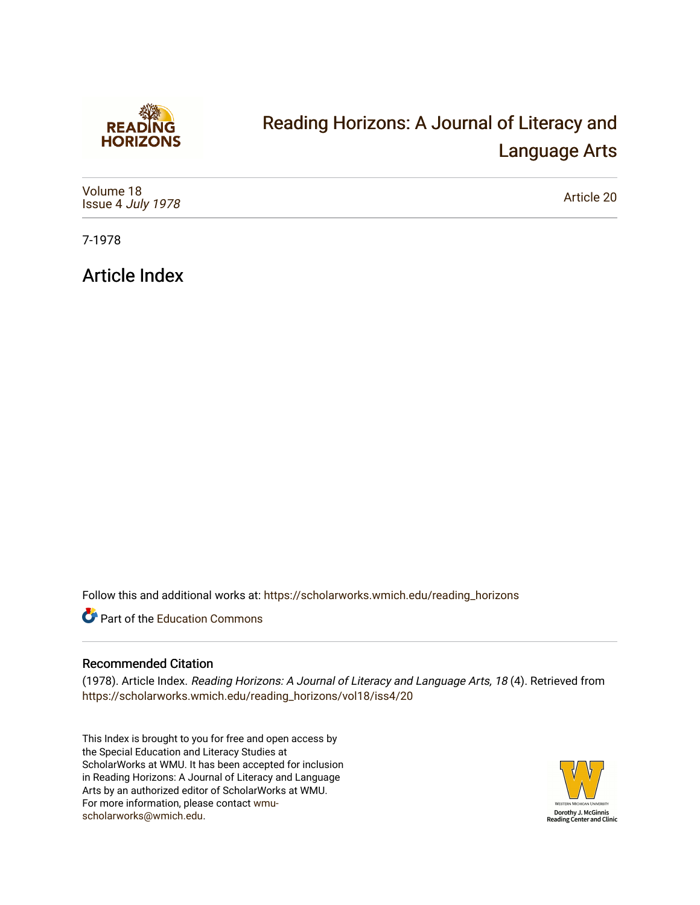

## [Reading Horizons: A Journal of Literacy and](https://scholarworks.wmich.edu/reading_horizons)  [Language Arts](https://scholarworks.wmich.edu/reading_horizons)

| Volume 18<br>Issue 4 July 1978 | Article 20 |
|--------------------------------|------------|
|--------------------------------|------------|

7-1978

Article Index

Follow this and additional works at: [https://scholarworks.wmich.edu/reading\\_horizons](https://scholarworks.wmich.edu/reading_horizons?utm_source=scholarworks.wmich.edu%2Freading_horizons%2Fvol18%2Fiss4%2F20&utm_medium=PDF&utm_campaign=PDFCoverPages)

Part of the [Education Commons](http://network.bepress.com/hgg/discipline/784?utm_source=scholarworks.wmich.edu%2Freading_horizons%2Fvol18%2Fiss4%2F20&utm_medium=PDF&utm_campaign=PDFCoverPages)

## Recommended Citation

(1978). Article Index. Reading Horizons: A Journal of Literacy and Language Arts, 18 (4). Retrieved from [https://scholarworks.wmich.edu/reading\\_horizons/vol18/iss4/20](https://scholarworks.wmich.edu/reading_horizons/vol18/iss4/20?utm_source=scholarworks.wmich.edu%2Freading_horizons%2Fvol18%2Fiss4%2F20&utm_medium=PDF&utm_campaign=PDFCoverPages) 

This Index is brought to you for free and open access by the Special Education and Literacy Studies at ScholarWorks at WMU. It has been accepted for inclusion in Reading Horizons: A Journal of Literacy and Language Arts by an authorized editor of ScholarWorks at WMU. For more information, please contact [wmu](mailto:wmu-scholarworks@wmich.edu)[scholarworks@wmich.edu.](mailto:wmu-scholarworks@wmich.edu)

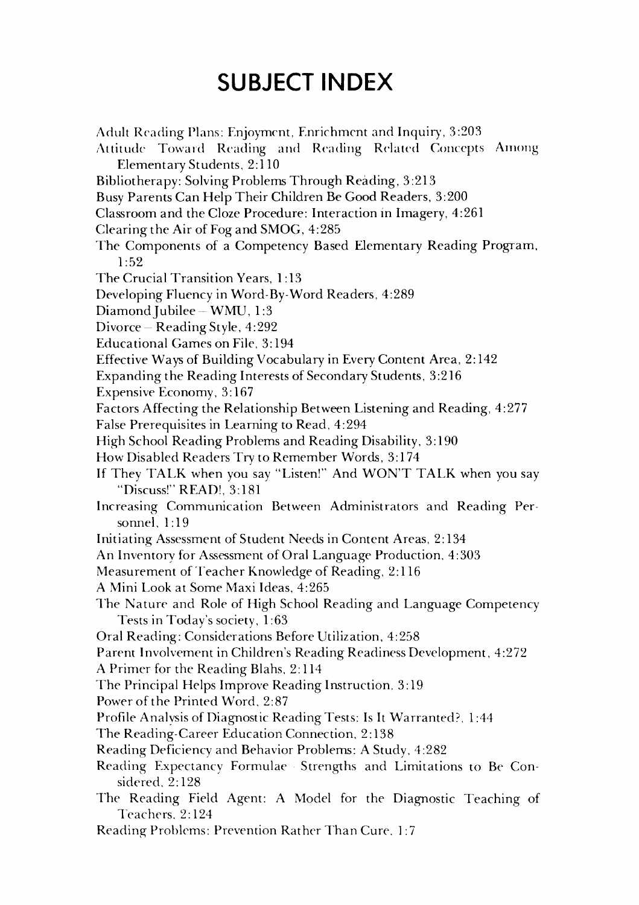## *SUBJECT INDEX* **SUBJECT INDEX**

Adult Reading Plans: Enjoyment, Enrichment and Inquiry, 3:203 Arlult Reading Plans: Enjoyment, Enrichment anrl Inquiry, 3:203 Attitude Toward Reading and Reading Related Concepts Among Elementary Students, 2:110 Elementary Students, 2: 110 Bibliotherapy: Solving Problems Through Reading, 3:213 Bibliotherapy: Solving Problems Through Reading, 3 :213 Busy Parents Can Help Their Children Be Good Readers, 3:200 Busy Parents Can Help Their Children Be Good Readers, 3:200 Classroom and the Cloze Procedure: Interaction in Imagery, 4:261 Clearing the Air of Fog and SMOG, 4:285 Clearing the of Fog and SMOG, 4:285 The Components of a Competency Based Elementary Reading Program, The Components of a Competency Based Elementary Reading Program, 1:52 1:52 The Crucial Transition Years, 1:13 The Crucial Transition Years, 1 :13 Developing Fluency in Word-By-Word Readers, 4:289 Developing Fluency in Word-By-Word Readers, 4:289 DiamondJubilee-WMU, 1:3 DiamondJubilee- WMU, 1:3 Divorce Reading Style, 4:292 Divorce - Reading Style, 4:292 Educational Games on File, 3:194 Educational Games on File, 3:194 Effective Ways of Building Vocabulary in Every Content Area, 2:142 Effective Ways of Building Vocabulary in Every Content Area, 2: 142 Expanding the Reading Interests of Secondary Students, 3:216 Expanding the Reading Interests of Secondary Students, 3 :216 Expensive Economy, 3:167 Expensive Economy, 3: 167 Factors Affecting the Relationship Between Listening and Reading, 4:277 Factors Affecting the Relationship Between Listening and Reading, 4:277 False Prerequisites in Learning to Read, 4:294 False Prerequisites in Learning to Read, 4:294 High School Reading Problems and Reading Disability, 3:190  $\,$ How Disabled Readers Try to Remember Words, 3:174 How Disabled Readers Try to Remember Words, 3: 174 If They TALK when you say "Listen!" And WON'T TALK when you say If They TALK when you say "Listen!" And WON'T TALK when you say "Discuss!" READ!, 3:181 "Discuss!" READ!, 3:181 Increasing Communication Between Administrators and Reading Per Increasing- Communication Between Administrators and Reading Personnel, 1:19 sonnel, 1: 19 Initiating Assessment of Student Needs in Content Areas, 2:134 Initiating Assessment of Student Needs in Content Areas, 2: 134 An Inventory for Assessment of Oral Language Production, 4:303 Measurement of Teacher Knowledge of Reading, 2:116 A Mini Look at Some Maxi Ideas, 4:265 A Mini Look at Some Maxi Ideas, 4:265 The Nature and Role of High School Reading and Language Competency The Nature and Role of High School Reading and Language Competency Tests in Today's society, 1:63 Tests in Today's society, 1 :63 Oral Reading: Considerations Before Utilization, 4:258 Oral Reading: Considerations Before Utilization, 4:258 Parent Involvement in Children's Reading Readiness Development, 4:272 Parent Involvement in Children's Reading Readiness Development, 4:272 A Primer for the Reading Blahs, 2:114 A Primer for the Reading Blahs, 2: 114 The Principal Helps Improve Reading Instruction, 3:19 The Principal Helps Improve Reading Instruction, 3: 19 Power of the Printed Word, 2:87 Power of the Printed Word, 2:87 Profile Analvsis of Diagnostic Reading Tests: Is It Warranted?, 1:44 Profile Analysis of Diagnostic Reading Tests: Is **It** Warranted?, 1 :44 The Reading-Career Education Connection, 2:138 The Reading-Career Education Connection, 2: 138 Reading Deficiency and Behavior Problems: A Study, 4:282 Reading Deficiency and Behavior Problems: A Study, 4:282 Reading Expectancy Formulae Strengths and Limitations to Be Con Reading Expectancy Formulae Strengths and Limitations to Be Considered, 2:128 sidered, 2: 128 The Reading Field Agent: A Model for the Diagnostic Teaching of Teachers" 2:124 Teachers, 2: 124 Reading Problems: Prevention Rather Than Cure, 1:7 Reading- Problems: Prevention Rather Than Cure. 1:7